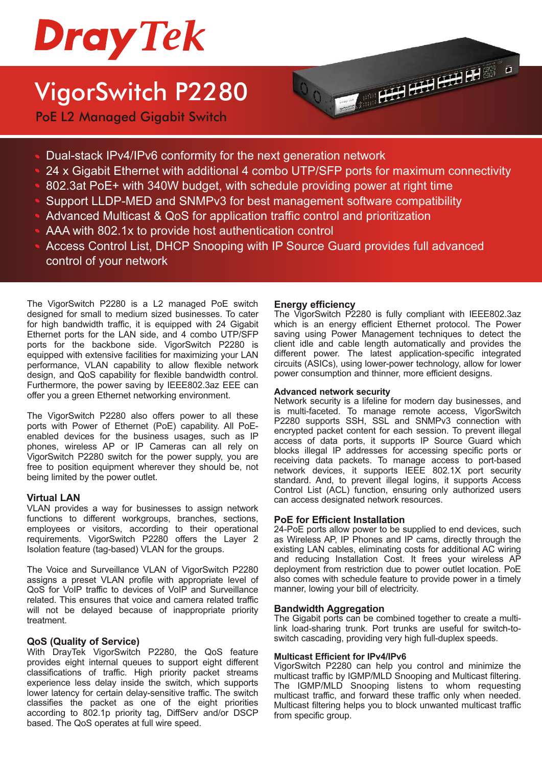

## VigorSwitch P2280

PoE L2 Managed Gigabit Switch



- Dual-stack IPv4/IPv6 conformity for the next generation network
- 24 x Gigabit Ethernet with additional 4 combo UTP/SFP ports for maximum connectivity
- 802.3at PoE+ with 340W budget, with schedule providing power at right time
- Support LLDP-MED and SNMPv3 for best management software compatibility
- Advanced Multicast & QoS for application traffic control and prioritization
- AAA with 802.1x to provide host authentication control
- Access Control List, DHCP Snooping with IP Source Guard provides full advanced control of your network

The VigorSwitch P2280 is a L2 managed PoE switch **Energy efficiency** designed for small to medium sized businesses. To cater for high bandwidth traffic, it is equipped with 24 Gigabit Ethernet ports for the LAN side, and 4 combo UTP/SFP ports for the backbone side. VigorSwitch P2280 is equipped with extensive facilities for maximizing your LAN performance, VLAN capability to allow flexible network design, and QoS capability for flexible bandwidth control. Furthermore, the power saving by IEEE802.3az EEE can offer you a green Ethernet networking environment.

The VigorSwitch P2280 also offers power to all these ports with Power of Ethernet (PoE) capability. All PoEenabled devices for the business usages, such as IP phones, wireless AP or IP Cameras can all rely on VigorSwitch P2280 switch for the power supply, you are free to position equipment wherever they should be, not being limited by the power outlet.

#### **Virtual LAN**

VLAN provides a way for businesses to assign network functions to different workgroups, branches, sections, employees or visitors, according to their operational requirements. VigorSwitch P2280 offers the Layer 2 Isolation feature (tag-based) VLAN for the groups.

The Voice and Surveillance VLAN of VigorSwitch P2280 assigns a preset VLAN profile with appropriate level of QoS for VoIP traffic to devices of VoIP and Surveillance related. This ensures that voice and camera related traffic will not be delayed because of inappropriate priority treatment.

#### **QoS (Quality of Service)**

With DrayTek VigorSwitch P2280, the QoS feature provides eight internal queues to support eight different classifications of traffic. High priority packet streams experience less delay inside the switch, which supports lower latency for certain delay-sensitive traffic. The switch classifies the packet as one of the eight priorities according to 802.1p priority tag, DiffServ and/or DSCP based. The QoS operates at full wire speed.

The VigorSwitch P2280 is fully compliant with IEEE802.3az which is an energy efficient Ethernet protocol. The Power saving using Power Management techniques to detect the client idle and cable length automatically and provides the different power. The latest application-specific integrated circuits (ASICs), using lower-power technology, allow for lower power consumption and thinner, more efficient designs.

#### **Advanced network security**

Network security is a lifeline for modern day businesses, and is multi-faceted. To manage remote access, VigorSwitch P2280 supports SSH, SSL and SNMPv3 connection with encrypted packet content for each session. To prevent illegal access of data ports, it supports IP Source Guard which blocks illegal IP addresses for accessing specific ports or receiving data packets. To manage access to port-based network devices, it supports IEEE 802.1X port security standard. And, to prevent illegal logins, it supports Access Control List (ACL) function, ensuring only authorized users can access designated network resources.

#### **PoE for Efficient Installation**

24-PoE ports allow power to be supplied to end devices, such as Wireless AP, IP Phones and IP cams, directly through the existing LAN cables, eliminating costs for additional AC wiring and reducing Installation Cost. It frees your wireless AP deployment from restriction due to power outlet location. PoE also comes with schedule feature to provide power in a timely manner, lowing your bill of electricity.

#### **Bandwidth Aggregation**

The Gigabit ports can be combined together to create a multilink load-sharing trunk. Port trunks are useful for switch-toswitch cascading, providing very high full-duplex speeds.

#### **Multicast Efficient for IPv4/IPv6**

VigorSwitch P2280 can help you control and minimize the multicast traffic by IGMP/MLD Snooping and Multicast filtering. The IGMP/MLD Snooping listens to whom requesting multicast traffic, and forward these traffic only when needed. Multicast filtering helps you to block unwanted multicast traffic from specific group.